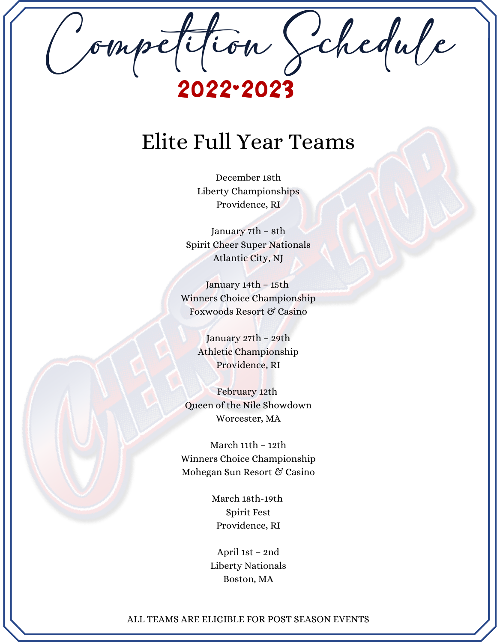Competition Schedule 2022-2023

### Elite Full Year Teams

December 18th Liberty Championships Providence, RI

January 7th – 8th Spirit Cheer Super Nationals Atlantic City, NJ

January 14th – 15th Winners Choice Championship Foxwoods Resort & Casino

> January 27th – 29th Athletic Championship Providence, RI

February 12th Queen of the Nile Showdown Worcester, MA

March 11th – 12th Winners Choice Championship Mohegan Sun Resort & Casino

> March 18th-19th Spirit Fest Providence, RI

April 1st – 2nd Liberty Nationals Boston, MA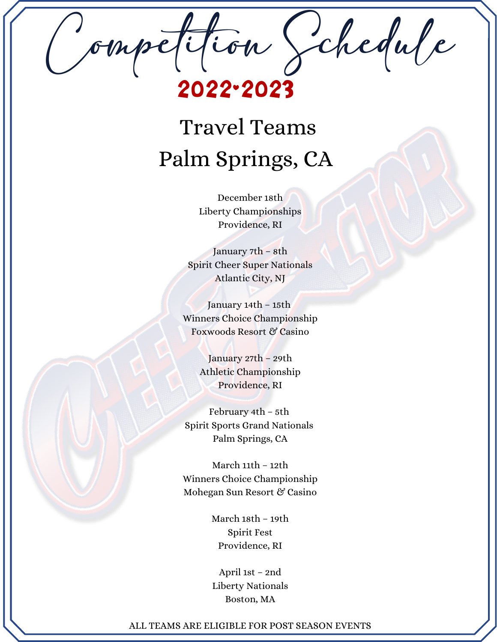Competition Schedule 2022-2023

# Travel Teams Palm Springs, CA

December 18th Liberty Championships Providence, RI

January 7th – 8th Spirit Cheer Super Nationals Atlantic City, NJ

January 14th – 15th Winners Choice Championship Foxwoods Resort & Casino

> January 27th – 29th Athletic Championship Providence, RI

February 4th – 5th Spirit Sports Grand Nationals Palm Springs, CA

March 11th – 12th Winners Choice Championship Mohegan Sun Resort & Casino

> March 18th – 19th Spirit Fest Providence, RI

April 1st – 2nd Liberty Nationals Boston, MA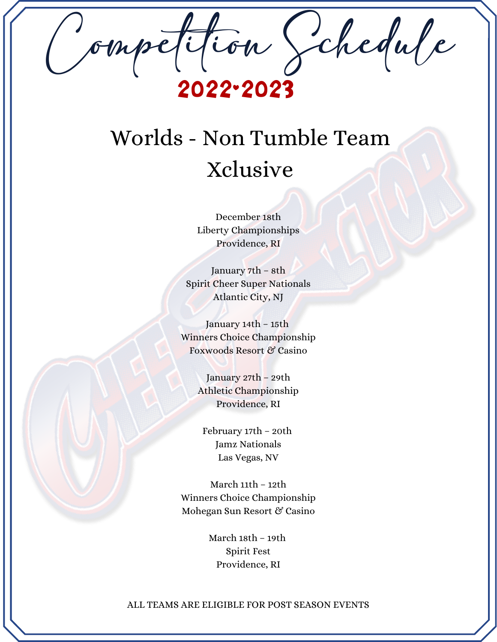Competition Schedule 2022-2023

# Worlds - Non Tumble Team Xclusive

December 18th Liberty Championships Providence, RI

January 7th – 8th Spirit Cheer Super Nationals Atlantic City, NJ

January 14th – 15th Winners Choice Championship Foxwoods Resort & Casino

> January 27th – 29th Athletic Championship Providence, RI

February 17th – 20th Jamz Nationals Las Vegas, NV

March 11th – 12th Winners Choice Championship Mohegan Sun Resort & Casino

> March 18th – 19th Spirit Fest Providence, RI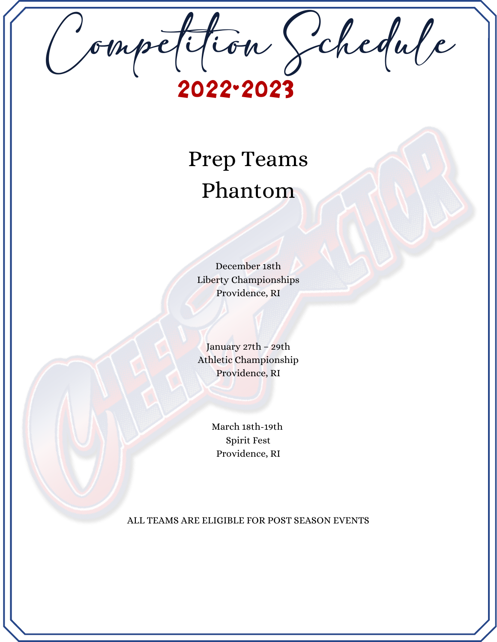Competition Schedule 2022-2023

## Prep Teams Phantom

December 18th Liberty Championships Providence, RI

January 27th – 29th Athletic Championship Providence, RI

> March 18th-19th Spirit Fest Providence, RI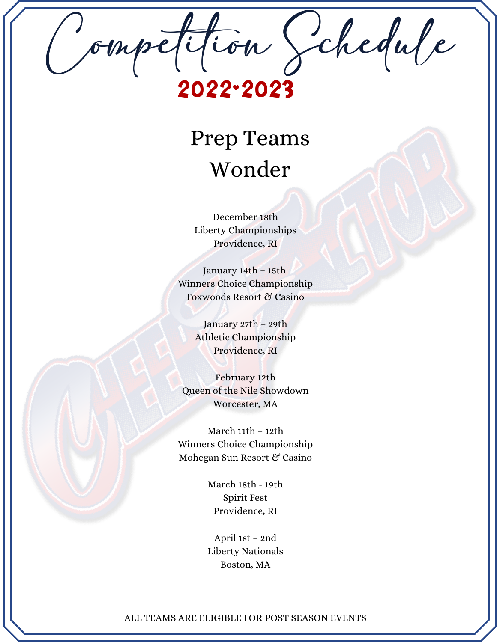Competition Schedule 2022-2023

### Prep Teams Wonder

December 18th Liberty Championships Providence, RI

January 14th – 15th Winners Choice Championship Foxwoods Resort & Casino

> January 27th – 29th Athletic Championship Providence, RI

February 12th Queen of the Nile Showdown Worcester, MA

March 11th – 12th Winners Choice Championship Mohegan Sun Resort & Casino

> March 18th - 19th Spirit Fest Providence, RI

April 1st – 2nd Liberty Nationals Boston, MA